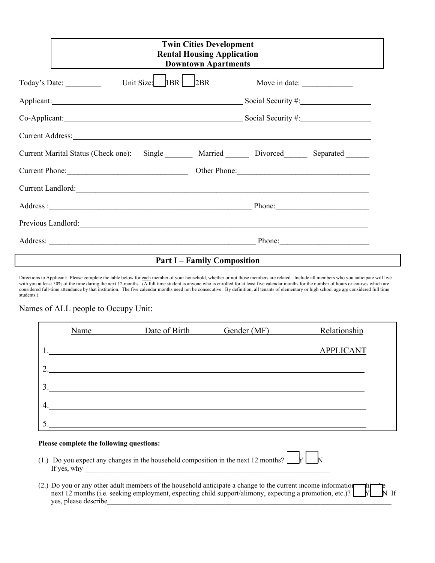|                                                                                                                                                                                                                                | <b>Twin Cities Development</b><br><b>Rental Housing Application</b><br><b>Downtown Apartments</b> |  |  |  |  |  |
|--------------------------------------------------------------------------------------------------------------------------------------------------------------------------------------------------------------------------------|---------------------------------------------------------------------------------------------------|--|--|--|--|--|
| 1BR<br>Unit Size:<br>2BR<br>Today's Date:                                                                                                                                                                                      | Move in date:                                                                                     |  |  |  |  |  |
| Applicant: Social Security #: Social Security #:                                                                                                                                                                               |                                                                                                   |  |  |  |  |  |
| Co-Applicant: Social Security #: Social Security #:                                                                                                                                                                            |                                                                                                   |  |  |  |  |  |
| Current Address: No. 2014 19:30 and 2014 19:30 and 2014 19:30 and 2014 19:30 and 2014 19:30 and 2014 19:30 and 2014 19:30 and 2014 19:30 and 2014 19:30 and 2014 19:30 and 2014 19:30 and 2014 19:30 and 2014 19:30 and 2014 1 |                                                                                                   |  |  |  |  |  |
| Current Marital Status (Check one):                                                                                                                                                                                            | Single Married Divorced Separated                                                                 |  |  |  |  |  |
| Current Phone:                                                                                                                                                                                                                 | Other Phone: 2008                                                                                 |  |  |  |  |  |
| Current Landlord:                                                                                                                                                                                                              |                                                                                                   |  |  |  |  |  |
|                                                                                                                                                                                                                                | Phone:                                                                                            |  |  |  |  |  |
| Previous Landlord:                                                                                                                                                                                                             |                                                                                                   |  |  |  |  |  |
|                                                                                                                                                                                                                                | Phone:                                                                                            |  |  |  |  |  |

## **Part I – Family Composition**

Directions to Applicant: Please complete the table below for each member of your household, whether or not those members are related. Include all members who you anticipate will live with you at least 50% of the time during the next 12 months. (A full time student is anyone who is enrolled for at least five calendar months for the number of hours or courses which are considered full-time attendance by that institution. The five calendar months need not be consecutive. By definition, all tenants of elementary or high school age are considered full time students.)

## Names of ALL people to Occupy Unit:

|                  | Name | Date of Birth | Gender (MF) | Relationship     |
|------------------|------|---------------|-------------|------------------|
|                  |      |               |             | <b>APPLICANT</b> |
| $\mathcal{D}$    |      |               |             |                  |
| 3.               |      |               |             |                  |
|                  |      |               |             |                  |
| $\overline{4}$ . |      |               |             |                  |
| 5.               |      |               |             |                  |

#### **Please complete the following questions:**

- (1.) Do you expect any changes in the household composition in the next 12 months? If yes, why
- (2.) Do you or any other adult members of the household anticipate a change to the current income information  $\begin{bmatrix} -\mathbf{h} & \mathbf{h} \\ \mathbf{h} & \mathbf{h} \end{bmatrix}$  rext 12 months (i.e. seeking employment, expecting child support/ali next 12 months (i.e. seeking employment, expecting child support/alimony, expecting a promotion, etc.)? yes, please describe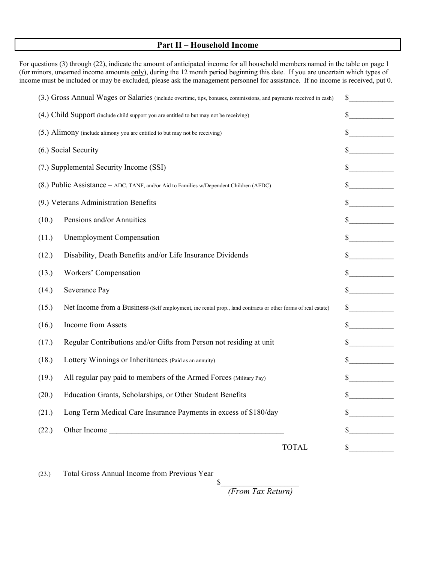### **Part II – Household Income**

For questions (3) through (22), indicate the amount of anticipated income for all household members named in the table on page 1 (for minors, unearned income amounts only), during the 12 month period beginning this date. If you are uncertain which types of income must be included or may be excluded, please ask the management personnel for assistance. If no income is received, put 0.

| (3.) Gross Annual Wages or Salaries (include overtime, tips, bonuses, commissions, and payments received in cash)     | \$                                      |  |  |
|-----------------------------------------------------------------------------------------------------------------------|-----------------------------------------|--|--|
| (4.) Child Support (include child support you are entitled to but may not be receiving)                               | \$                                      |  |  |
| (5.) Alimony (include alimony you are entitled to but may not be receiving)                                           |                                         |  |  |
| (6.) Social Security                                                                                                  | \$                                      |  |  |
| (7.) Supplemental Security Income (SSI)                                                                               | \$                                      |  |  |
| (8.) Public Assistance - ADC, TANF, and/or Aid to Families w/Dependent Children (AFDC)                                |                                         |  |  |
| (9.) Veterans Administration Benefits                                                                                 | $\mathbb{S}$                            |  |  |
| Pensions and/or Annuities<br>(10.)                                                                                    | \$                                      |  |  |
| <b>Unemployment Compensation</b><br>(11.)                                                                             |                                         |  |  |
| Disability, Death Benefits and/or Life Insurance Dividends<br>(12.)                                                   | \$                                      |  |  |
| Workers' Compensation<br>(13.)                                                                                        | \$                                      |  |  |
| Severance Pay<br>(14.)                                                                                                | $\sim$                                  |  |  |
| (15.)<br>Net Income from a Business (Self employment, inc rental prop., land contracts or other forms of real estate) | $\sim$                                  |  |  |
| Income from Assets<br>(16.)                                                                                           | $\sim$                                  |  |  |
| Regular Contributions and/or Gifts from Person not residing at unit<br>(17.)                                          | <u>and a strong to the strong</u><br>\$ |  |  |
| Lottery Winnings or Inheritances (Paid as an annuity)<br>(18.)                                                        | S.                                      |  |  |
| All regular pay paid to members of the Armed Forces (Military Pay)<br>(19.)                                           | $\sim$                                  |  |  |
| Education Grants, Scholarships, or Other Student Benefits<br>(20.)                                                    |                                         |  |  |
| Long Term Medical Care Insurance Payments in excess of \$180/day<br>(21.)                                             |                                         |  |  |
| Other Income<br>(22.)                                                                                                 | \$                                      |  |  |
| <b>TOTAL</b>                                                                                                          | \$                                      |  |  |

(23.) Total Gross Annual Income from Previous Year

 $\mathcal S$  *(From Tax Return)*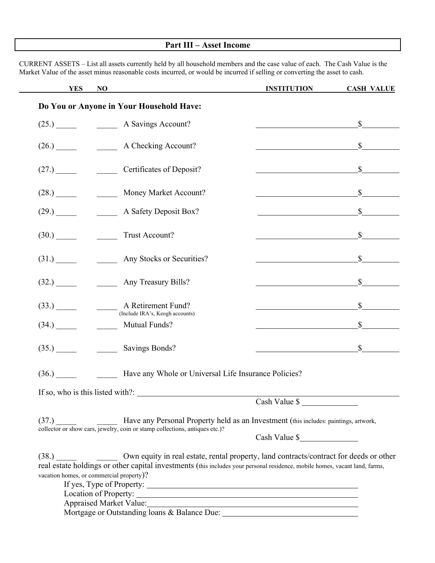# **Part III – Asset Income**

CURRENT ASSETS – List all assets currently held by all household members and the case value of each. The Cash Value is the Market Value of the asset minus reasonable costs incurred, or would be incurred if selling or converting the asset to cash.

| <b>YES</b>                               | NO                                                                                                                                                                                                                          | <b>INSTITUTION</b> | <b>CASH VALUE</b>           |
|------------------------------------------|-----------------------------------------------------------------------------------------------------------------------------------------------------------------------------------------------------------------------------|--------------------|-----------------------------|
|                                          | Do You or Anyone in Your Household Have:                                                                                                                                                                                    |                    |                             |
|                                          | $(25.)$ A Savings Account?                                                                                                                                                                                                  |                    | $\mathbb{S}$                |
| (26.)                                    | A Checking Account?                                                                                                                                                                                                         |                    | $\mathbb{S}$                |
|                                          | (27.) Certificates of Deposit?                                                                                                                                                                                              |                    | $\mathbb{S}$                |
| (28.)                                    | Money Market Account?                                                                                                                                                                                                       |                    | $\frac{\text{S}}{\text{S}}$ |
| (29.)                                    | A Safety Deposit Box?                                                                                                                                                                                                       |                    | $\mathbb{S}$                |
| (30.)                                    | Trust Account?                                                                                                                                                                                                              |                    | $\mathbb{S}$                |
| $(31.)$ <sub>__________</sub>            | Any Stocks or Securities?                                                                                                                                                                                                   |                    | $\mathbb{S}$                |
| (32.)                                    | <b>Any Treasury Bills?</b>                                                                                                                                                                                                  |                    | $\mathbb{S}$                |
|                                          | $(33.)$ $\qquad \qquad$ A Retirement Fund?<br>(Include IRA's, Keogh accounts)                                                                                                                                               |                    | $\mathbb{S}$                |
| (34.)                                    | <b>Mutual Funds?</b>                                                                                                                                                                                                        |                    | $\mathbb{S}$                |
|                                          | (35.) Savings Bonds?                                                                                                                                                                                                        |                    | $\mathbb{S}$                |
|                                          | (36.) Have any Whole or Universal Life Insurance Policies?                                                                                                                                                                  |                    |                             |
|                                          | If so, who is this listed with?:                                                                                                                                                                                            |                    |                             |
|                                          |                                                                                                                                                                                                                             | Cash Value \$      |                             |
|                                          | (37.) Have any Personal Property held as an Investment (this includes: paintings, artwork, collector or show cars, jewelry, coin or stamp collections, antiques etc.)?                                                      |                    |                             |
|                                          |                                                                                                                                                                                                                             | Cash Value \$      |                             |
| vacation homes, or commercial property)? | (38.) Own equity in real estate, rental property, land contracts/contract for deeds or other<br>real estate holdings or other capital investments (this includes your personal residence, mobile homes, vacant land, farms, |                    |                             |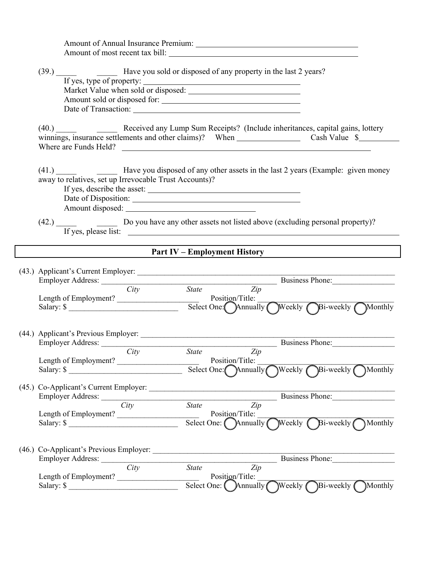|      | Amount of Annual Insurance Premium:                            |
|------|----------------------------------------------------------------|
|      | Amount of most recent tax bill:                                |
|      |                                                                |
| (39. | Have you sold or disposed of any property in the last 2 years? |

| If yes, type of property: _____     |  |
|-------------------------------------|--|
| Market Value when sold or disposed: |  |
| Amount sold or disposed for:        |  |
| Date of Transaction:                |  |

(40.) \_\_\_\_\_ \_\_\_\_\_ Received any Lump Sum Receipts? (Include inheritances, capital gains, lottery winnings, insurance settlements and other claims)? When Cash Value \$ Where are Funds Held?

(41.) \_\_\_\_\_ Have you disposed of any other assets in the last 2 years (Example: given money away to relatives, set up Irrevocable Trust Accounts)?

If yes, describe the asset: Date of Disposition: Amount disposed:

(42.) Do you have any other assets not listed above (excluding personal property)? If yes, please list:

# **Part IV – Employment History**

| (43.) Applicant's Current Employer:           |                                                 |
|-----------------------------------------------|-------------------------------------------------|
| Employer Address:                             | Business Phone:                                 |
| City                                          | State Zip                                       |
|                                               |                                                 |
| Salary: $\frac{\sqrt{2}}{2}$                  | Select One: Annually Weekly Bi-weekly Monthly   |
| (44.) Applicant's Previous Employer: ________ |                                                 |
|                                               | Business Phone:                                 |
| $\overline{City}$                             | $\overline{State}$ $\overline{Zip}$             |
| Length of Employment?                         | Position/Title:                                 |
| Salary: $\frac{1}{2}$                         | Select One: Chinually Weekly Bi-weekly CMonthly |
| (45.) Co-Applicant's Current Employer:        |                                                 |
|                                               | Business Phone:                                 |
| City                                          | State Zip                                       |
|                                               |                                                 |
| Salary: $\frac{\text{S}^{2}}{2}$              | Select One: Annually Weekly Bi-weekly Monthly   |
|                                               |                                                 |
|                                               | Business Phone:                                 |
| City                                          | $\overline{Zip}$<br><b>State</b>                |
| Length of Employment?                         | Position/Title:                                 |
| Salary: $\frac{\sqrt{2}}{2}$                  | Select One: Annually Weekly Bi-weekly Monthly   |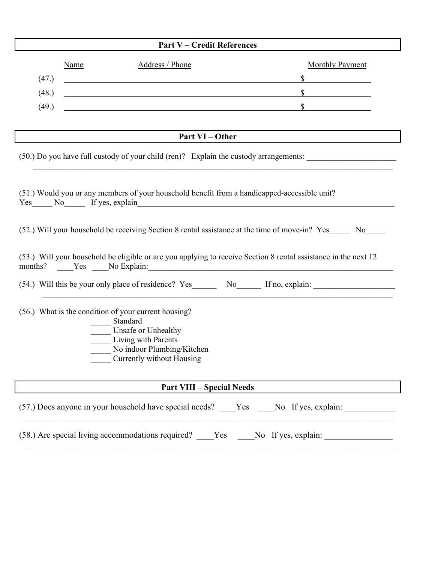|       |             | <b>Part V – Credit References</b>                                                                                                                                         |                                                                                                                 |
|-------|-------------|---------------------------------------------------------------------------------------------------------------------------------------------------------------------------|-----------------------------------------------------------------------------------------------------------------|
|       | <b>Name</b> | Address / Phone                                                                                                                                                           | <b>Monthly Payment</b>                                                                                          |
| (47.) |             | <u> 1980 - Johann Barn, fransk politik (f. 1980)</u>                                                                                                                      | $\mathbb{S}$                                                                                                    |
| (48.) |             | <u> 1989 - Johann Stoff, deutscher Stoff, der Stoff, der Stoff, der Stoff, der Stoff, der Stoff, der Stoff, der S</u>                                                     | $\sim$                                                                                                          |
| (49.) |             |                                                                                                                                                                           | $\mathbb{S}$                                                                                                    |
|       |             |                                                                                                                                                                           |                                                                                                                 |
|       |             | Part VI – Other                                                                                                                                                           |                                                                                                                 |
|       |             |                                                                                                                                                                           | (50.) Do you have full custody of your child (ren)? Explain the custody arrangements:                           |
|       |             | (51.) Would you or any members of your household benefit from a handicapped-accessible unit?<br>Yes No If yes, explain                                                    | (52.) Will your household be receiving Section 8 rental assistance at the time of move-in? Yes No               |
|       |             |                                                                                                                                                                           | (53.) Will your household be eligible or are you applying to receive Section 8 rental assistance in the next 12 |
|       |             |                                                                                                                                                                           | (54.) Will this be your only place of residence? Yes________ No_______ If no, explain:                          |
|       |             | (56.) What is the condition of your current housing?<br>Standard<br>Unsafe or Unhealthy<br>Living with Parents<br>No indoor Plumbing/Kitchen<br>Currently without Housing |                                                                                                                 |
|       |             | <b>Part VIII - Special Needs</b>                                                                                                                                          |                                                                                                                 |
|       |             |                                                                                                                                                                           | (57.) Does anyone in your household have special needs? ____Yes ____No If yes, explain:                         |
|       |             |                                                                                                                                                                           | (58.) Are special living accommodations required? ____Yes ____No If yes, explain: _________________             |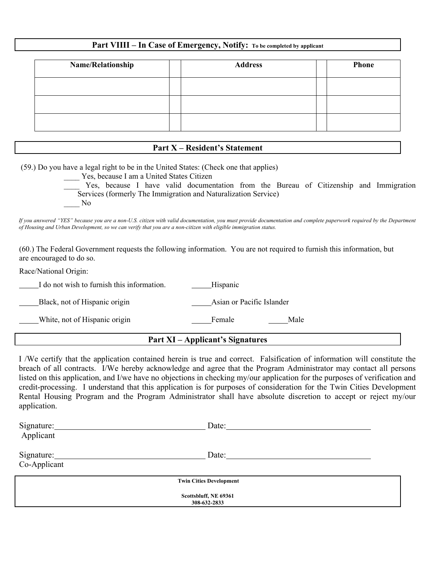# **Part VIIII – In Case of Emergency, Notify: To be completed by applicant**

| Name/Relationship | <b>Address</b> | <b>Phone</b> |
|-------------------|----------------|--------------|
|                   |                |              |
|                   |                |              |
|                   |                |              |

## **Part X – Resident's Statement**

(59.) Do you have a legal right to be in the United States: (Check one that applies)

Yes, because I am a United States Citizen Yes, because I have valid documentation from the Bureau of Citizenship and Immigration Services (formerly The Immigration and Naturalization Service) \_\_\_\_ No

*If you answered "YES" because you are a non-U.S. citizen with valid documentation, you must provide documentation and complete paperwork required by the Department of Housing and Urban Development, so we can verify that you are a non-citizen with eligible immigration status.* 

(60.) The Federal Government requests the following information. You are not required to furnish this information, but are encouraged to do so.

Race/National Origin:

I do not wish to furnish this information. Thispanic

Black, not of Hispanic origin and Asian or Pacific Islander

White, not of Hispanic origin Female Female Male

# **Part XI – Applicant's Signatures**

I /We certify that the application contained herein is true and correct. Falsification of information will constitute the breach of all contracts. I/We hereby acknowledge and agree that the Program Administrator may contact all persons listed on this application, and I/we have no objections in checking my/our application for the purposes of verification and credit-processing. I understand that this application is for purposes of consideration for the Twin Cities Development Rental Housing Program and the Program Administrator shall have absolute discretion to accept or reject my/our application.

| Signature:   | Date:                          |  |
|--------------|--------------------------------|--|
| Applicant    |                                |  |
| Signature:   | Date:                          |  |
| Co-Applicant |                                |  |
|              |                                |  |
|              | <b>Twin Cities Development</b> |  |
|              | Scottsbluff, NE 69361          |  |
|              | 308-632-2833                   |  |